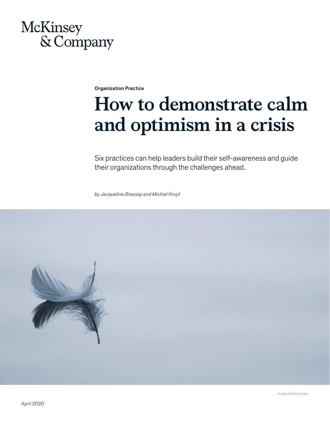## McKinsey & Company

Organization Practice

# **How to demonstrate calm and optimism in a crisis**

Six practices can help leaders build their self-awareness and guide their organizations through the challenges ahead.

*by Jacqueline Brassey and Michiel Kruyt*

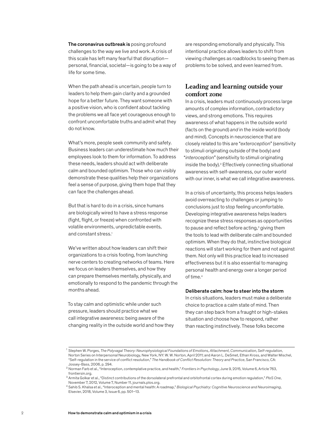The coronavirus outbreak is posing profound challenges to the way we live and work. A crisis of this scale has left many fearful that disruption personal, financial, societal—is going to be a way of life for some time.

When the path ahead is uncertain, people turn to leaders to help them gain clarity and a grounded hope for a better future. They want someone with a positive vision, who is confident about tackling the problems we all face yet courageous enough to confront uncomfortable truths and admit what they do not know.

What's more, people seek community and safety. Business leaders can underestimate how much their employees look to them for information. To address these needs, leaders should act with deliberate calm and bounded optimism. Those who can visibly demonstrate these qualities help their organizations feel a sense of purpose, giving them hope that they can face the challenges ahead.

But that is hard to do in a crisis, since humans are biologically wired to have a stress response (fight, flight, or freeze) when confronted with volatile environments, unpredictable events, and constant stress.<sup>1</sup>

We've written about how leaders can shift their organizations to a crisis footing, from launching nerve centers to creating networks of teams. Here we focus on leaders themselves, and how they can prepare themselves mentally, physically, and emotionally to respond to the pandemic through the months ahead.

To stay calm and optimistic while under such pressure, leaders should practice what we call integrative awareness: being aware of the changing reality in the outside world and how they

are responding emotionally and physically. This intentional practice allows leaders to shift from viewing challenges as roadblocks to seeing them as problems to be solved, and even learned from.

#### **Leading and learning outside your comfort zone**

In a crisis, leaders must continuously process large amounts of complex information, contradictory views, and strong emotions. This requires awareness of what happens in the outside world (facts on the ground) *and* in the inside world (body and mind). Concepts in neuroscience that are closely related to this are "*exteroception*" (sensitivity to stimuli originating outside of the body) and "*interoception*" (sensitivity to stimuli originating inside the body).2 Effectively connecting situational awareness with self-awareness, our outer world with our inner, is what we call integrative awareness.

In a crisis of uncertainty, this process helps leaders avoid overreacting to challenges or jumping to conclusions just to stop feeling uncomfortable. Developing integrative awareness helps leaders recognize these stress responses as opportunities to pause and reflect before acting,<sup>3</sup> giving them the tools to lead with deliberate calm and bounded optimism. When they do that, instinctive biological reactions will start working for them and not against them. Not only will this practice lead to increased effectiveness but it is also essential to managing personal health and energy over a longer period of time.<sup>4</sup>

#### Deliberate calm: how to steer into the storm

In crisis situations, leaders must make a deliberate choice to practice a calm state of mind. Then they can step back from a fraught or high-stakes situation and choose how to respond, rather than reacting instinctively. These folks become

<sup>1</sup> Stephen W. Porges, *The Polyvagal Theory: Neurophysiological Foundations of Emotions, Attachment, Communication, Self-regulation*, Norton Series on Interpersonal Neurobiology, New York, NY: W. W. Norton, April 2011; and Aaron L. DeSmet, Ethan Kross, and Walter Mischel, "Self-regulation in the service of conflict resolution," *The Handbook of Conflict Resolution: Theory and Practice*, San Francisco, CA: Jossey-Bass, 2006, p. 294.

<sup>2</sup> Norman Farb et al., "Interoception, contemplative practice, and health," *Frontiers in Psychology*, June 9, 2015, Volume 6, Article 763, frontiersin.org.

<sup>3</sup> Armita Golkar et al., "Distinct contributions of the dorsolateral prefrontal and orbitofrontal cortex during emotion regulation," *PloS One*, November 7, 2012, Volume 7, Number 11, journals.plos.org.

<sup>4</sup> Sahib S. Khalsa et al., "Interoception and mental health: A roadmap," *Biological Psychiatry: Cognitive Neuroscience and Neuroimaging*, Elsevier, 2018, Volume 3, Issue 6, pp. 501–13.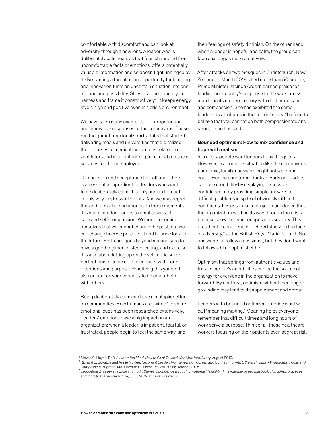comfortable with discomfort and can look at adversity through a new lens. A leader who is deliberately calm realizes that fear, channeled from uncomfortable facts or emotions, offers potentially valuable information and so doesn't get unhinged by it.<sup>5</sup> Reframing a threat as an opportunity for learning and innovation turns an uncertain situation into one of hope and possibility. Stress can be good if you harness and frame it constructively<sup>6</sup>; it keeps energy levels high and positive even in a crisis environment.

We have seen many examples of entrepreneurial and innovative responses to the coronavirus. These run the gamut from local sports clubs that started delivering meals and universities that digitalized their courses to medical innovations related to ventilators and artificial-intelligence-enabled social services for the unemployed.

Compassion and acceptance for self and others is an essential ingredient for leaders who want to be deliberately calm. It is only human to react impulsively to stressful events. And we may regret this and feel ashamed about it. In these moments it is important for leaders to emphasize selfcare and self-compassion. We need to remind ourselves that we cannot change the past, but we can change how we perceive it and how we look to the future. Self-care goes beyond making sure to have a good regimen of sleep, eating, and exercise. It is also about letting up on the self-criticism or perfectionism, to be able to connect with core intentions and purpose. Practicing this yourself also enhances your capacity to be empathetic with others.

Being deliberately calm can have a multiplier effect on communities. How humans are "wired" to share emotional cues has been researched extensively. Leaders' emotions have a big impact on an organization: when a leader is impatient, fearful, or frustrated, people begin to feel the same way, and

their feelings of safety diminish. On the other hand, when a leader is hopeful and calm, the group can face challenges more creatively.

After attacks on two mosques in Christchurch, New Zealand, in March 2019 killed more than 50 people, Prime Minister Jacinda Ardern earned praise for leading her country's response to the worst mass murder in its modern history with deliberate calm and compassion. She has exhibited the same leadership attributes in the current crisis: "I refuse to believe that you cannot be both compassionate and strong," she has said.

#### Bounded optimism: How to mix confidence and hope with realism

In a crisis, people want leaders to fix things fast. However, in a complex situation like the coronavirus pandemic, familiar answers might not work and could even be counterproductive. Early on, leaders can lose credibility by displaying excessive confidence or by providing simple answers to difficult problems in spite of obviously difficult conditions. It is essential to project confidence that the organization will find its way through the crisis but also show that you recognize its severity. This is authentic confidence7—"cheerfulness in the face of adversity," as the British Royal Marines put it. No one wants to follow a pessimist, but they don't want to follow a blind optimist either.

Optimism that springs from authentic values and trust in people's capabilities can be the source of energy for everyone in the organization to move forward. By contrast, optimism without meaning or grounding may lead to disappointment and defeat.

Leaders with bounded optimism practice what we call "meaning making." Meaning helps everyone remember that difficult times and long hours of work serve a purpose. Think of all those healthcare workers focusing on their patients even at great risk

<sup>5</sup> Steven C. Hayes, PhD, *A Liberated Mind. How to Pivot Toward What Matters*, Avery, August 2019.

<sup>6</sup> Richard E. Boyatzis and Annie McKee, *Resonant Leadership: Renewing Yourself and Connecting with Others Through Mindfulness, Hope, and Compassion* Brighton, MA: Harvard Business Review Press; October 2005.

<sup>7</sup> Jacqueline Brassey et al., *Advancing Authentic Confidence through Emotional Flexibility: An evidence-based playbook of insights, practices and tools to shape your future*, LuLu, 2019, annekebrouwer.nl.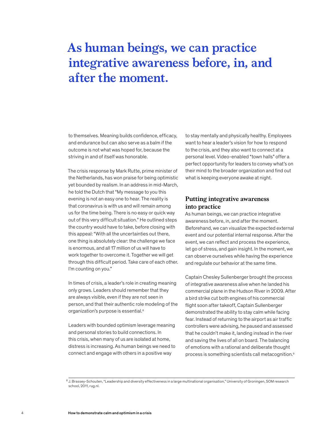### **As human beings, we can practice integrative awareness before, in, and after the moment.**

to themselves. Meaning builds confidence, efficacy, and endurance but can also serve as a balm if the outcome is not what was hoped for, because the striving in and of itself was honorable.

The crisis response by Mark Rutte, prime minister of the Netherlands, has won praise for being optimistic yet bounded by realism. In an address in mid-March, he told the Dutch that "My message to you this evening is not an easy one to hear. The reality is that coronavirus is with us and will remain among us for the time being. There is no easy or quick way out of this very difficult situation." He outlined steps the country would have to take, before closing with this appeal: "With all the uncertainties out there, one thing is absolutely clear: the challenge we face is enormous, and all 17 million of us will have to work together to overcome it. Together we will get through this difficult period. Take care of each other. I'm counting on you."

In times of crisis, a leader's role in creating meaning only grows. Leaders should remember that they are always visible, even if they are not seen in person, and that their authentic role modeling of the organization's purpose is essential.<sup>8</sup>

Leaders with bounded optimism leverage meaning and personal stories to build connections. In this crisis, when many of us are isolated at home, distress is increasing. As human beings we need to connect and engage with others in a positive way

to stay mentally and physically healthy. Employees want to hear a leader's vision for how to respond to the crisis, and they also want to connect at a personal level. Video-enabled "town halls" offer a perfect opportunity for leaders to convey what's on their mind to the broader organization and find out what is keeping everyone awake at night.

#### **Putting integrative awareness into practice**

As human beings, we can practice integrative awareness before, in, and after the moment. Beforehand, we can visualize the expected external event and our potential internal response. After the event, we can reflect and process the experience, let go of stress, and gain insight. In the moment, we can observe ourselves while having the experience and regulate our behavior at the same time.

Captain Chesley Sullenberger brought the process of integrative awareness alive when he landed his commercial plane in the Hudson River in 2009. After a bird strike cut both engines of his commercial flight soon after takeoff, Captain Sullenberger demonstrated the ability to stay calm while facing fear. Instead of returning to the airport as air traffic controllers were advising, he paused and assessed that he couldn't make it, landing instead in the river and saving the lives of all on board. The balancing of emotions with a rational and deliberate thought process is something scientists call metacognition.9

<sup>8</sup> J. Brassey-Schouten, "Leadership and diversity effectiveness in a large multinational organisation," University of Groningen, SOM research school, 2011, rug.nl.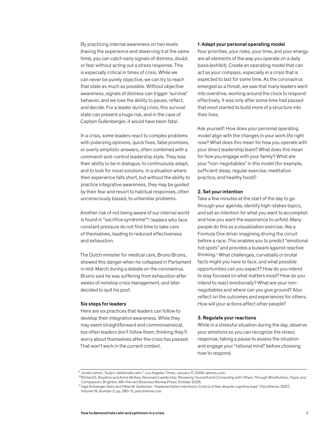By practicing internal awareness on two levels (having the experience and observing it at the same time), you can catch early signals of distress, doubt, or fear without acting out a stress response. This is especially critical in times of crisis. While we can never be purely objective, we can try to reach that state as much as possible. Without objective awareness, signals of distress can trigger 'survival' behavior, and we lose the ability to pause, reflect, and decide. For a leader during crisis, this survival state can present a huge risk, and in the case of Captain Sullenberger, it would have been fatal.

In a crisis, some leaders react to complex problems with polarizing opinions, quick fixes, false promises, or overly simplistic answers, often combined with a command-and-control leadership style. They lose their ability to be in dialogue, to continuously adapt, and to look for novel solutions. In a situation where their experience falls short, but without the ability to practice integrative awareness, they may be guided by their fear and resort to habitual responses, often unconsciously biased, to unfamiliar problems.

Another risk of not being aware of our internal world is found in "sacrifice syndrome"10: leaders who face constant pressure do not find time to take care of themselves, leading to reduced effectiveness and exhaustion.

The Dutch minister for medical care, Bruno Bruins, showed this danger when he collapsed in Parliament in mid-March during a debate on the coronavirus. Bruins said he was suffering from exhaustion after weeks of nonstop crisis management, and later decided to quit his post.

#### Six steps for leaders

Here are six practices that leaders can follow to develop their integrative awareness. While they may seem straightforward and commonsensical, too often leaders don't follow them, thinking they'll worry about themselves after the crisis has passed. That won't work in the current context.

#### 1. Adapt your personal operating model

Your priorities, your roles, your time, and your energy are all elements of the way you operate on a daily basis (exhibit). Create an operating model that can act as your compass, especially in a crisis that is expected to last for some time. As the coronavirus emerged as a threat, we saw that many leaders went into overdrive, working around the clock to respond effectively. It was only after some time had passed that most started to build more of a structure into their lives.

Ask yourself: How does your personal operating model align with the changes in your work life right now? What does this mean for how you operate with your direct leadership team? What does this mean for how you engage with your family? What are your "non-negotiables" in this model (for example, sufficient sleep, regular exercise, meditation practice, and healthy food)?

#### 2. Set your intention

Take a few minutes at the start of the day to go through your agenda, identify high-stakes topics, and set an intention for what you want to accomplish and how you want the experience to unfold. Many people do this as a visualization exercise, like a Formula One driver imagining driving the circuit before a race. This enables you to predict "emotional hot spots" and provides a bulwark against reactive thinking.11 What challenges, curveballs or brutal facts might you have to face, and what possible opportunities can you expect? How do you intend to stay focused on what matters most? How do you intend to react emotionally? What are your nonnegotiables and where can you give ground? Also reflect on the outcomes and experiences for others. How will your actions affect other people?

#### 3. Regulate your reactions

While in a stressful situation during the day, observe your emotions so you can recognize the stress response, taking a pause to assess the situation and engage your "rational mind" before choosing how to respond.

<sup>&</sup>lt;sup>9</sup> Jonah Lehrer, "Sully's 'deliberate calm," *Los Angeles Times*, January 17, 2009, latimes.com.<br><sup>10</sup>Richard E. Boyatzis and Annie McKee, *Resonant Leadership: Renewing Yourself and Connecting with Others Through Mindfuln Compassion*, Brighton, MA: Harvard Business Review Press; October 2005.

<sup>11</sup> Inge Schweiger Gallo and Peter M. Gollwitzer, "Implementation intentions: Control of fear despite cognitive load," *Psicothema*. 2007, Volume 19, Number 2, pp. 280–5, psicothema.com.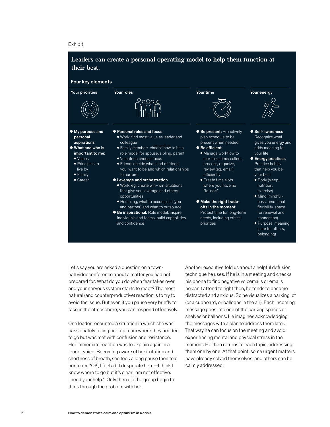#### Exhibit



Let's say you are asked a question on a townhall videoconference about a matter you had not prepared for. What do you do when fear takes over and your nervous system starts to react? The most natural (and counterproductive) reaction is to try to avoid the issue. But even if you pause very briefly to take in the atmosphere, you can respond effectively.

One leader recounted a situation in which she was passionately telling her top team where they needed to go but was met with confusion and resistance. Her immediate reaction was to explain again in a louder voice. Becoming aware of her irritation and shortness of breath, she took a long pause then told her team, "OK, I feel a bit desperate here—I think I know where to go but it's clear I am not effective. I need your help." Only then did the group begin to think through the problem with her.

Another executive told us about a helpful defusion technique he uses. If he is in a meeting and checks his phone to find negative voicemails or emails he can't attend to right then, he tends to become distracted and anxious. So he visualizes a parking lot (or a cupboard, or balloons in the air). Each incoming message goes into one of the parking spaces or shelves or balloons. He imagines acknowledging the messages with a plan to address them later. That way he can focus on the meeting and avoid experiencing mental and physical stress in the moment. He then returns to each topic, addressing them one by one. At that point, some urgent matters have already solved themselves, and others can be calmly addressed.